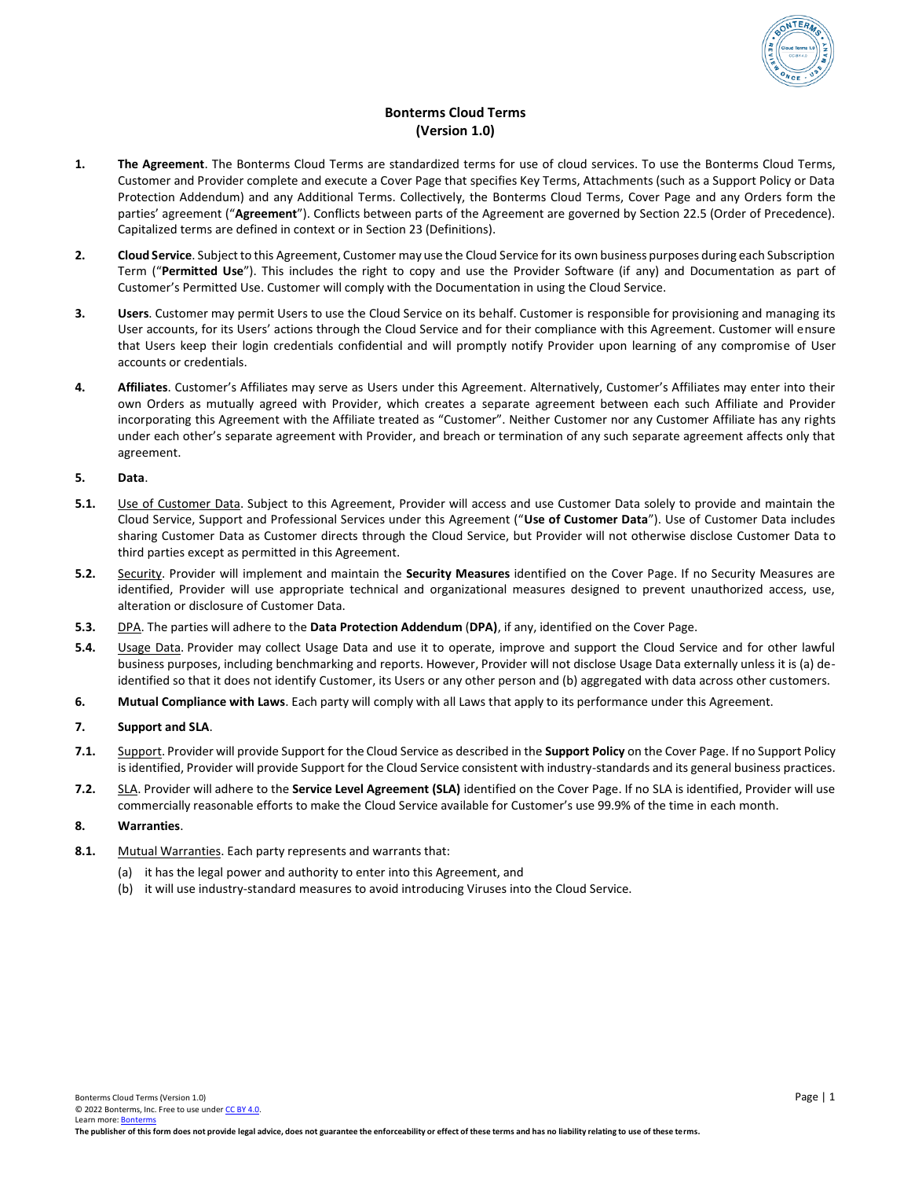

# **Bonterms Cloud Terms (Version 1.0)**

- **1. The Agreement**. The Bonterms Cloud Terms are standardized terms for use of cloud services. To use the Bonterms Cloud Terms, Customer and Provider complete and execute a Cover Page that specifies Key Terms, Attachments (such as a Support Policy or Data Protection Addendum) and any Additional Terms. Collectively, the Bonterms Cloud Terms, Cover Page and any Orders form the parties' agreement ("**Agreement**"). Conflicts between parts of the Agreement are governed by Section 22.5 (Order of Precedence). Capitalized terms are defined in context or in Section 23 (Definitions).
- **2. Cloud Service**. Subject to this Agreement, Customer may use the Cloud Service for its own business purposes during each Subscription Term ("**Permitted Use**"). This includes the right to copy and use the Provider Software (if any) and Documentation as part of Customer's Permitted Use. Customer will comply with the Documentation in using the Cloud Service.
- **3. Users**. Customer may permit Users to use the Cloud Service on its behalf. Customer is responsible for provisioning and managing its User accounts, for its Users' actions through the Cloud Service and for their compliance with this Agreement. Customer will ensure that Users keep their login credentials confidential and will promptly notify Provider upon learning of any compromise of User accounts or credentials.
- **4. Affiliates**. Customer's Affiliates may serve as Users under this Agreement. Alternatively, Customer's Affiliates may enter into their own Orders as mutually agreed with Provider, which creates a separate agreement between each such Affiliate and Provider incorporating this Agreement with the Affiliate treated as "Customer". Neither Customer nor any Customer Affiliate has any rights under each other's separate agreement with Provider, and breach or termination of any such separate agreement affects only that agreement.

# **5. Data**.

- **5.1.** Use of Customer Data. Subject to this Agreement, Provider will access and use Customer Data solely to provide and maintain the Cloud Service, Support and Professional Services under this Agreement ("**Use of Customer Data**"). Use of Customer Data includes sharing Customer Data as Customer directs through the Cloud Service, but Provider will not otherwise disclose Customer Data to third parties except as permitted in this Agreement.
- **5.2.** Security. Provider will implement and maintain the **Security Measures** identified on the Cover Page. If no Security Measures are identified, Provider will use appropriate technical and organizational measures designed to prevent unauthorized access, use, alteration or disclosure of Customer Data.
- **5.3.** DPA. The parties will adhere to the **Data Protection Addendum** (**DPA)**, if any, identified on the Cover Page.
- **5.4.** Usage Data. Provider may collect Usage Data and use it to operate, improve and support the Cloud Service and for other lawful business purposes, including benchmarking and reports. However, Provider will not disclose Usage Data externally unless it is (a) deidentified so that it does not identify Customer, its Users or any other person and (b) aggregated with data across other customers.
- **6. Mutual Compliance with Laws**. Each party will comply with all Laws that apply to its performance under this Agreement.

# **7. Support and SLA**.

- **7.1.** Support. Provider will provide Support for the Cloud Service as described in the **Support Policy** on the Cover Page. If no Support Policy is identified, Provider will provide Support for the Cloud Service consistent with industry-standards and its general business practices.
- **7.2.** SLA. Provider will adhere to the **Service Level Agreement (SLA)** identified on the Cover Page. If no SLA is identified, Provider will use commercially reasonable efforts to make the Cloud Service available for Customer's use 99.9% of the time in each month.

# **8. Warranties**.

- **8.1.** Mutual Warranties. Each party represents and warrants that:
	- (a) it has the legal power and authority to enter into this Agreement, and
	- (b) it will use industry-standard measures to avoid introducing Viruses into the Cloud Service.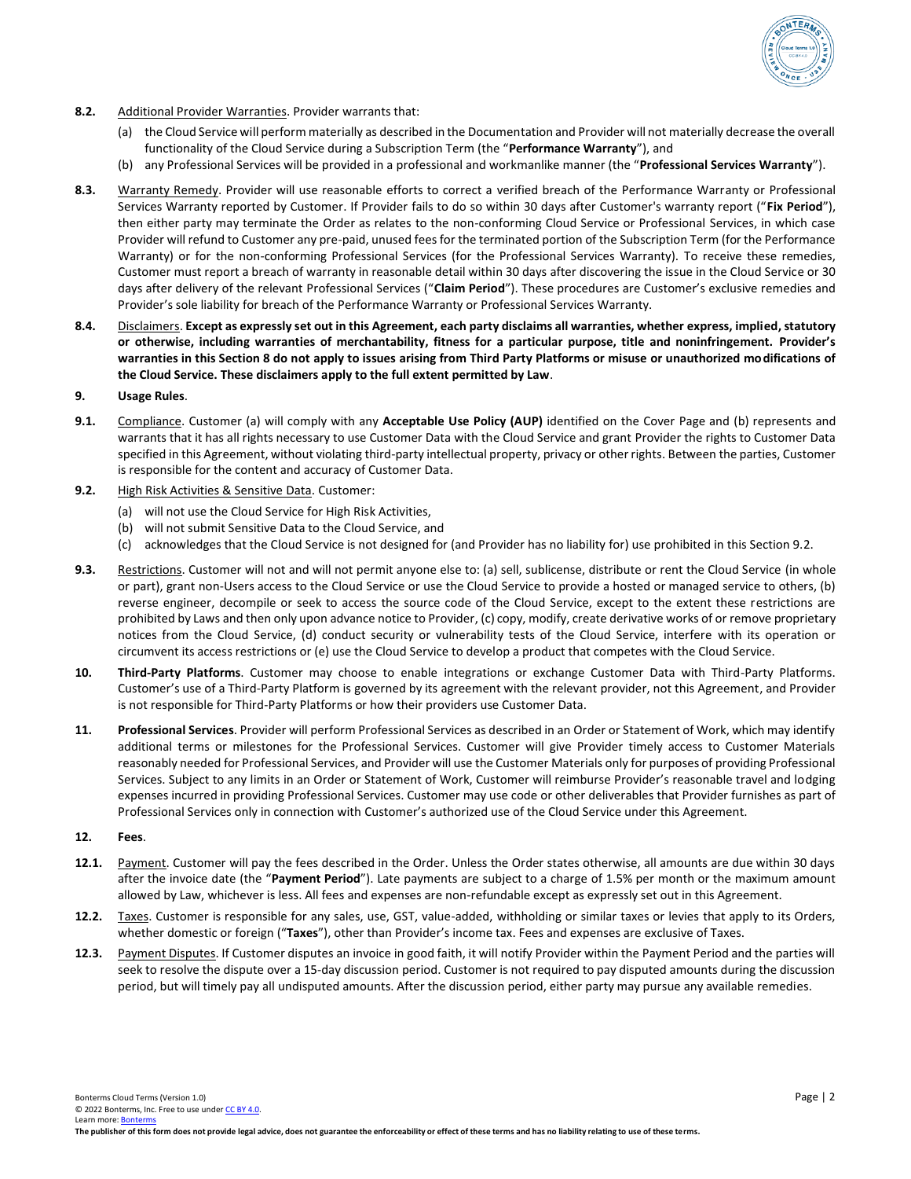

- **8.2.** Additional Provider Warranties. Provider warrants that:
	- (a) the Cloud Service will perform materially as described in the Documentation and Provider will not materially decrease the overall functionality of the Cloud Service during a Subscription Term (the "**Performance Warranty**"), and
	- (b) any Professional Services will be provided in a professional and workmanlike manner (the "**Professional Services Warranty**").
- **8.3.** Warranty Remedy. Provider will use reasonable efforts to correct a verified breach of the Performance Warranty or Professional Services Warranty reported by Customer. If Provider fails to do so within 30 days after Customer's warranty report ("**Fix Period**"), then either party may terminate the Order as relates to the non-conforming Cloud Service or Professional Services, in which case Provider will refund to Customer any pre-paid, unused fees for the terminated portion of the Subscription Term (for the Performance Warranty) or for the non-conforming Professional Services (for the Professional Services Warranty). To receive these remedies, Customer must report a breach of warranty in reasonable detail within 30 days after discovering the issue in the Cloud Service or 30 days after delivery of the relevant Professional Services ("**Claim Period**"). These procedures are Customer's exclusive remedies and Provider's sole liability for breach of the Performance Warranty or Professional Services Warranty.
- **8.4.** Disclaimers. **Except as expressly set out in this Agreement, each party disclaims all warranties, whether express, implied, statutory or otherwise, including warranties of merchantability, fitness for a particular purpose, title and noninfringement. Provider's warranties in this Section 8 do not apply to issues arising from Third Party Platforms or misuse or unauthorized modifications of the Cloud Service. These disclaimers apply to the full extent permitted by Law**.

# **9. Usage Rules**.

- **9.1.** Compliance. Customer (a) will comply with any **Acceptable Use Policy (AUP)** identified on the Cover Page and (b) represents and warrants that it has all rights necessary to use Customer Data with the Cloud Service and grant Provider the rights to Customer Data specified in this Agreement, without violating third-party intellectual property, privacy or other rights. Between the parties, Customer is responsible for the content and accuracy of Customer Data.
- **9.2.** High Risk Activities & Sensitive Data. Customer:
	- (a) will not use the Cloud Service for High Risk Activities,
	- (b) will not submit Sensitive Data to the Cloud Service, and
	- (c) acknowledges that the Cloud Service is not designed for (and Provider has no liability for) use prohibited in this Section 9.2.
- **9.3.** Restrictions. Customer will not and will not permit anyone else to: (a) sell, sublicense, distribute or rent the Cloud Service (in whole or part), grant non-Users access to the Cloud Service or use the Cloud Service to provide a hosted or managed service to others, (b) reverse engineer, decompile or seek to access the source code of the Cloud Service, except to the extent these restrictions are prohibited by Laws and then only upon advance notice to Provider, (c) copy, modify, create derivative works of or remove proprietary notices from the Cloud Service, (d) conduct security or vulnerability tests of the Cloud Service, interfere with its operation or circumvent its access restrictions or (e) use the Cloud Service to develop a product that competes with the Cloud Service.
- **10. Third-Party Platforms**. Customer may choose to enable integrations or exchange Customer Data with Third-Party Platforms. Customer's use of a Third-Party Platform is governed by its agreement with the relevant provider, not this Agreement, and Provider is not responsible for Third-Party Platforms or how their providers use Customer Data.
- **11. Professional Services**. Provider will perform Professional Services as described in an Order or Statement of Work, which may identify additional terms or milestones for the Professional Services. Customer will give Provider timely access to Customer Materials reasonably needed for Professional Services, and Provider will use the Customer Materials only for purposes of providing Professional Services. Subject to any limits in an Order or Statement of Work, Customer will reimburse Provider's reasonable travel and lodging expenses incurred in providing Professional Services. Customer may use code or other deliverables that Provider furnishes as part of Professional Services only in connection with Customer's authorized use of the Cloud Service under this Agreement.

#### **12. Fees**.

- **12.1.** Payment. Customer will pay the fees described in the Order. Unless the Order states otherwise, all amounts are due within 30 days after the invoice date (the "**Payment Period**"). Late payments are subject to a charge of 1.5% per month or the maximum amount allowed by Law, whichever is less. All fees and expenses are non-refundable except as expressly set out in this Agreement.
- **12.2.** Taxes. Customer is responsible for any sales, use, GST, value-added, withholding or similar taxes or levies that apply to its Orders, whether domestic or foreign ("**Taxes**"), other than Provider's income tax. Fees and expenses are exclusive of Taxes.
- **12.3.** Payment Disputes. If Customer disputes an invoice in good faith, it will notify Provider within the Payment Period and the parties will seek to resolve the dispute over a 15-day discussion period. Customer is not required to pay disputed amounts during the discussion period, but will timely pay all undisputed amounts. After the discussion period, either party may pursue any available remedies.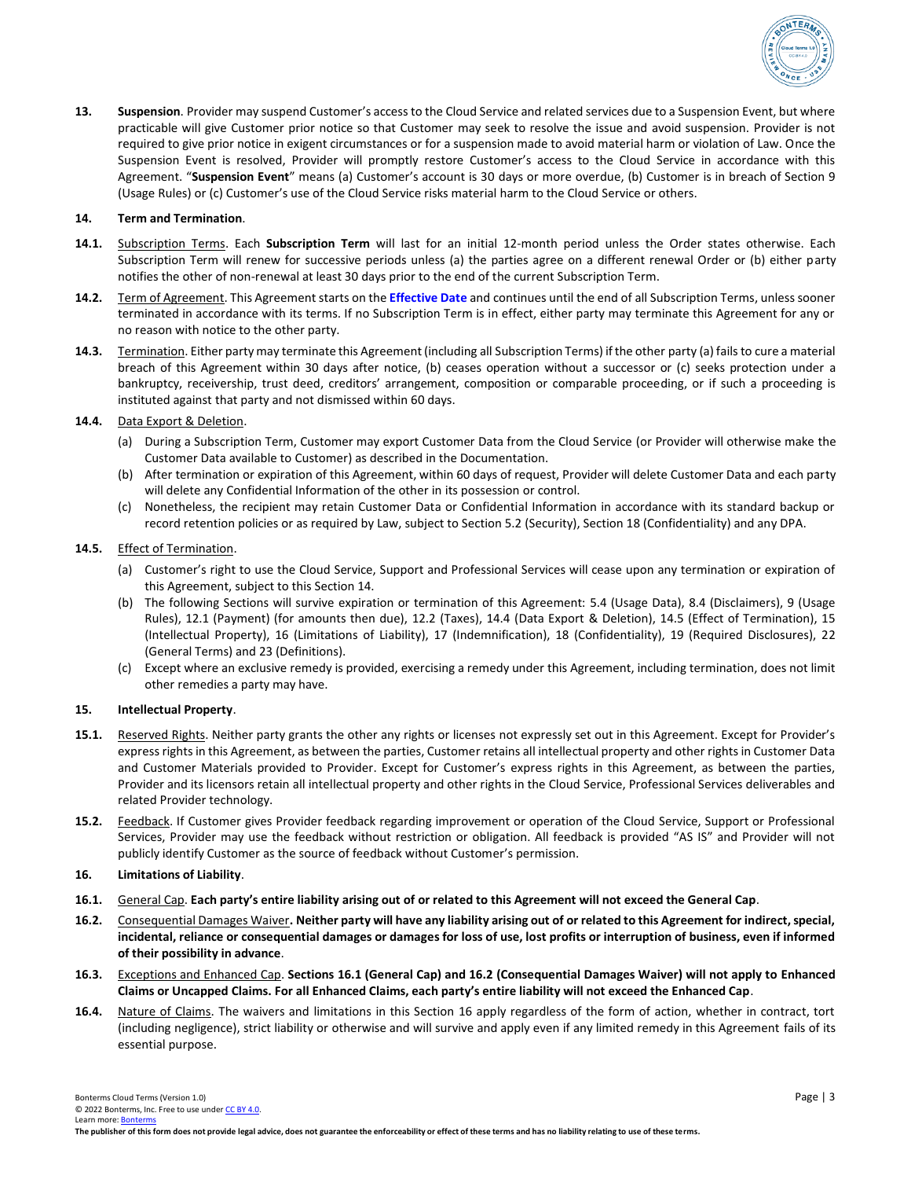

**13. Suspension**. Provider may suspend Customer's access to the Cloud Service and related services due to a Suspension Event, but where practicable will give Customer prior notice so that Customer may seek to resolve the issue and avoid suspension. Provider is not required to give prior notice in exigent circumstances or for a suspension made to avoid material harm or violation of Law. Once the Suspension Event is resolved, Provider will promptly restore Customer's access to the Cloud Service in accordance with this Agreement. "**Suspension Event**" means (a) Customer's account is 30 days or more overdue, (b) Customer is in breach of Section 9 (Usage Rules) or (c) Customer's use of the Cloud Service risks material harm to the Cloud Service or others.

### **14. Term and Termination**.

- **14.1.** Subscription Terms. Each **Subscription Term** will last for an initial 12-month period unless the Order states otherwise. Each Subscription Term will renew for successive periods unless (a) the parties agree on a different renewal Order or (b) either party notifies the other of non-renewal at least 30 days prior to the end of the current Subscription Term.
- **14.2.** Term of Agreement. This Agreement starts on the **Effective Date** and continues until the end of all Subscription Terms, unless sooner terminated in accordance with its terms. If no Subscription Term is in effect, either party may terminate this Agreement for any or no reason with notice to the other party.
- **14.3.** Termination. Either party may terminate this Agreement (including all Subscription Terms) if the other party (a) fails to cure a material breach of this Agreement within 30 days after notice, (b) ceases operation without a successor or (c) seeks protection under a bankruptcy, receivership, trust deed, creditors' arrangement, composition or comparable proceeding, or if such a proceeding is instituted against that party and not dismissed within 60 days.

# **14.4.** Data Export & Deletion.

- (a) During a Subscription Term, Customer may export Customer Data from the Cloud Service (or Provider will otherwise make the Customer Data available to Customer) as described in the Documentation.
- (b) After termination or expiration of this Agreement, within 60 days of request, Provider will delete Customer Data and each party will delete any Confidential Information of the other in its possession or control.
- (c) Nonetheless, the recipient may retain Customer Data or Confidential Information in accordance with its standard backup or record retention policies or as required by Law, subject to Section 5.2 (Security), Section 18 (Confidentiality) and any DPA.

## **14.5.** Effect of Termination.

- (a) Customer's right to use the Cloud Service, Support and Professional Services will cease upon any termination or expiration of this Agreement, subject to this Section 14.
- (b) The following Sections will survive expiration or termination of this Agreement: 5.4 (Usage Data), 8.4 (Disclaimers), 9 (Usage Rules), 12.1 (Payment) (for amounts then due), 12.2 (Taxes), 14.4 (Data Export & Deletion), 14.5 (Effect of Termination), 15 (Intellectual Property), 16 (Limitations of Liability), 17 (Indemnification), 18 (Confidentiality), 19 (Required Disclosures), 22 (General Terms) and 23 (Definitions).
- (c) Except where an exclusive remedy is provided, exercising a remedy under this Agreement, including termination, does not limit other remedies a party may have.

#### **15. Intellectual Property**.

- **15.1.** Reserved Rights. Neither party grants the other any rights or licenses not expressly set out in this Agreement. Except for Provider's express rights in this Agreement, as between the parties, Customer retains all intellectual property and other rights in Customer Data and Customer Materials provided to Provider. Except for Customer's express rights in this Agreement, as between the parties, Provider and its licensors retain all intellectual property and other rights in the Cloud Service, Professional Services deliverables and related Provider technology.
- **15.2.** Feedback. If Customer gives Provider feedback regarding improvement or operation of the Cloud Service, Support or Professional Services, Provider may use the feedback without restriction or obligation. All feedback is provided "AS IS" and Provider will not publicly identify Customer as the source of feedback without Customer's permission.

# **16. Limitations of Liability**.

- **16.1.** General Cap. **Each party's entire liability arising out of or related to this Agreement will not exceed the General Cap**.
- **16.2.** Consequential Damages Waiver**. Neither party will have any liability arising out of or related to this Agreement for indirect, special, incidental, reliance or consequential damages or damages for loss of use, lost profits or interruption of business, even if informed of their possibility in advance**.
- **16.3.** Exceptions and Enhanced Cap. **Sections 16.1 (General Cap) and 16.2 (Consequential Damages Waiver) will not apply to Enhanced Claims or Uncapped Claims. For all Enhanced Claims, each party's entire liability will not exceed the Enhanced Cap**.
- **16.4.** Nature of Claims. The waivers and limitations in this Section 16 apply regardless of the form of action, whether in contract, tort (including negligence), strict liability or otherwise and will survive and apply even if any limited remedy in this Agreement fails of its essential purpose.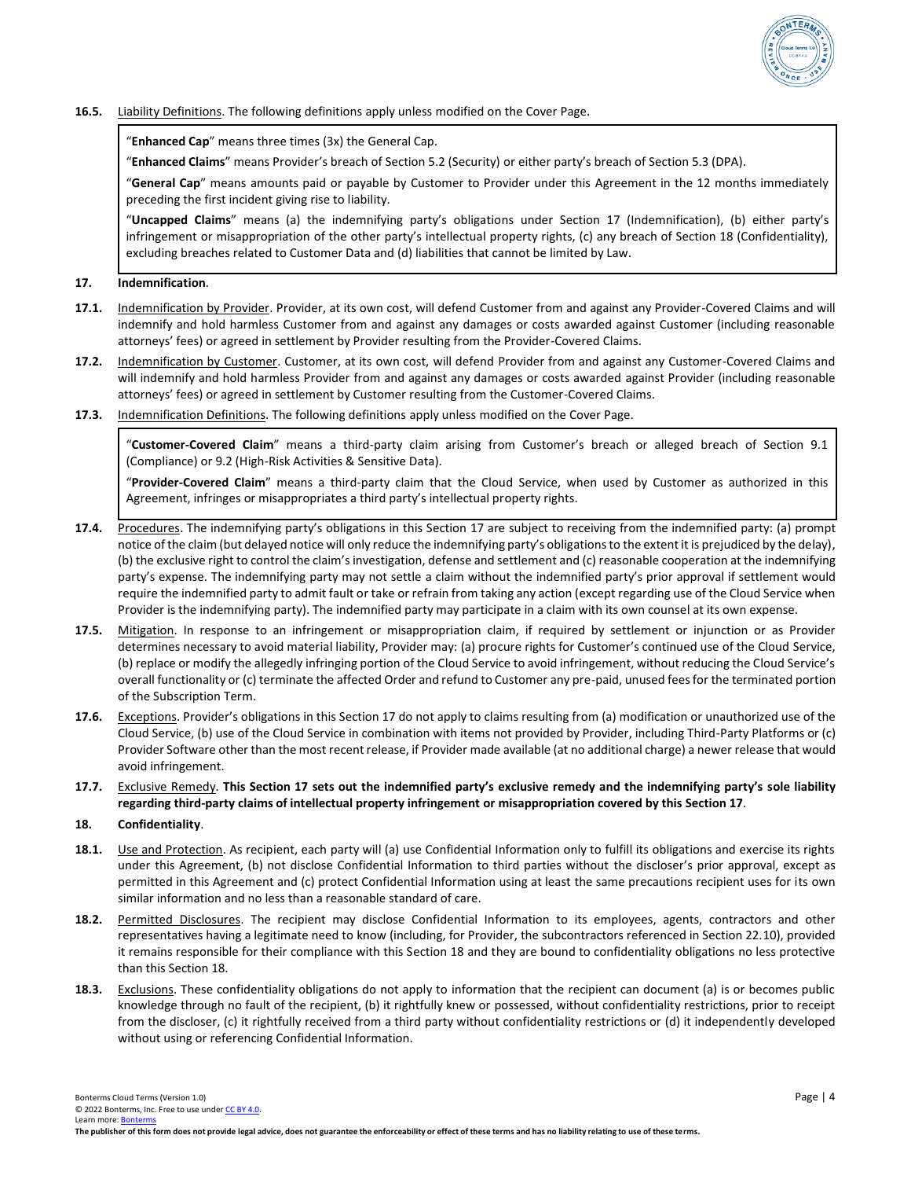

## **16.5.** Liability Definitions. The following definitions apply unless modified on the Cover Page.

"**Enhanced Cap**" means three times (3x) the General Cap.

"**Enhanced Claims**" means Provider's breach of Section 5.2 (Security) or either party's breach of Section 5.3 (DPA).

"**General Cap**" means amounts paid or payable by Customer to Provider under this Agreement in the 12 months immediately preceding the first incident giving rise to liability.

"**Uncapped Claims**" means (a) the indemnifying party's obligations under Section 17 (Indemnification), (b) either party's infringement or misappropriation of the other party's intellectual property rights, (c) any breach of Section 18 (Confidentiality), excluding breaches related to Customer Data and (d) liabilities that cannot be limited by Law.

### **17. Indemnification**.

- 17.1. Indemnification by Provider. Provider, at its own cost, will defend Customer from and against any Provider-Covered Claims and will indemnify and hold harmless Customer from and against any damages or costs awarded against Customer (including reasonable attorneys' fees) or agreed in settlement by Provider resulting from the Provider-Covered Claims.
- **17.2.** Indemnification by Customer. Customer, at its own cost, will defend Provider from and against any Customer-Covered Claims and will indemnify and hold harmless Provider from and against any damages or costs awarded against Provider (including reasonable attorneys' fees) or agreed in settlement by Customer resulting from the Customer-Covered Claims.
- **17.3.** Indemnification Definitions. The following definitions apply unless modified on the Cover Page.

"**Customer-Covered Claim**" means a third-party claim arising from Customer's breach or alleged breach of Section 9.1 (Compliance) or 9.2 (High-Risk Activities & Sensitive Data).

"**Provider-Covered Claim**" means a third-party claim that the Cloud Service, when used by Customer as authorized in this Agreement, infringes or misappropriates a third party's intellectual property rights.

- **17.4.** Procedures. The indemnifying party's obligations in this Section 17 are subject to receiving from the indemnified party: (a) prompt notice of the claim (but delayed notice will only reduce the indemnifying party's obligations to the extent it is prejudiced by the delay), (b) the exclusive right to control the claim'sinvestigation, defense and settlement and (c) reasonable cooperation at the indemnifying party's expense. The indemnifying party may not settle a claim without the indemnified party's prior approval if settlement would require the indemnified party to admit fault or take or refrain from taking any action (except regarding use of the Cloud Service when Provider is the indemnifying party). The indemnified party may participate in a claim with its own counsel at its own expense.
- **17.5.** Mitigation. In response to an infringement or misappropriation claim, if required by settlement or injunction or as Provider determines necessary to avoid material liability, Provider may: (a) procure rights for Customer's continued use of the Cloud Service, (b) replace or modify the allegedly infringing portion of the Cloud Service to avoid infringement, without reducing the Cloud Service's overall functionality or (c) terminate the affected Order and refund to Customer any pre-paid, unused fees for the terminated portion of the Subscription Term.
- **17.6.** Exceptions. Provider's obligations in this Section 17 do not apply to claims resulting from (a) modification or unauthorized use of the Cloud Service, (b) use of the Cloud Service in combination with items not provided by Provider, including Third-Party Platforms or (c) Provider Software other than the most recent release, if Provider made available (at no additional charge) a newer release that would avoid infringement.
- **17.7.** Exclusive Remedy. **This Section 17 sets out the indemnified party's exclusive remedy and the indemnifying party's sole liability regarding third-party claims of intellectual property infringement or misappropriation covered by this Section 17**.

#### **18. Confidentiality**.

- **18.1.** Use and Protection. As recipient, each party will (a) use Confidential Information only to fulfill its obligations and exercise its rights under this Agreement, (b) not disclose Confidential Information to third parties without the discloser's prior approval, except as permitted in this Agreement and (c) protect Confidential Information using at least the same precautions recipient uses for its own similar information and no less than a reasonable standard of care.
- **18.2.** Permitted Disclosures. The recipient may disclose Confidential Information to its employees, agents, contractors and other representatives having a legitimate need to know (including, for Provider, the subcontractors referenced in Section 22.10), provided it remains responsible for their compliance with this Section 18 and they are bound to confidentiality obligations no less protective than this Section 18.
- **18.3.** Exclusions. These confidentiality obligations do not apply to information that the recipient can document (a) is or becomes public knowledge through no fault of the recipient, (b) it rightfully knew or possessed, without confidentiality restrictions, prior to receipt from the discloser, (c) it rightfully received from a third party without confidentiality restrictions or (d) it independently developed without using or referencing Confidential Information.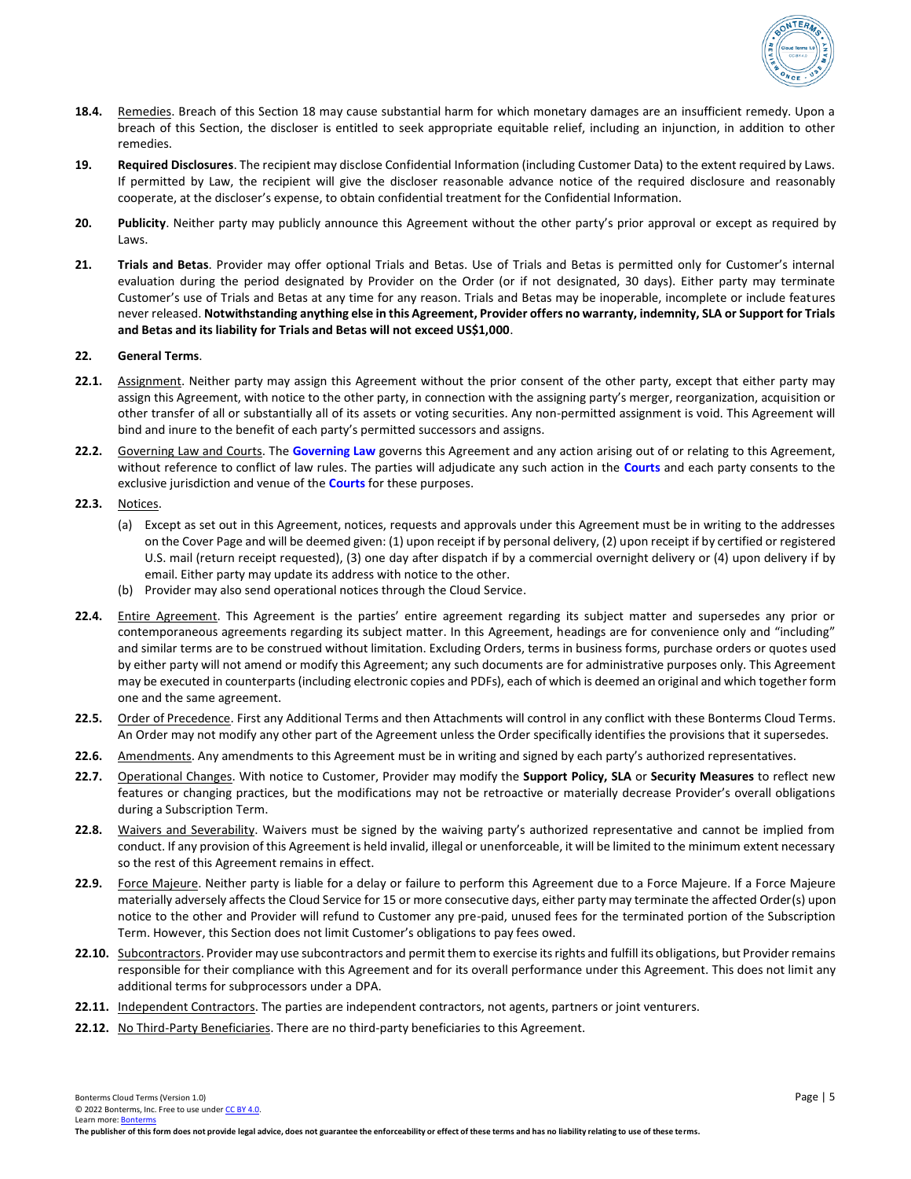

- 18.4. Remedies. Breach of this Section 18 may cause substantial harm for which monetary damages are an insufficient remedy. Upon a breach of this Section, the discloser is entitled to seek appropriate equitable relief, including an injunction, in addition to other remedies.
- **19. Required Disclosures**. The recipient may disclose Confidential Information (including Customer Data) to the extent required by Laws. If permitted by Law, the recipient will give the discloser reasonable advance notice of the required disclosure and reasonably cooperate, at the discloser's expense, to obtain confidential treatment for the Confidential Information.
- **20. Publicity**. Neither party may publicly announce this Agreement without the other party's prior approval or except as required by Laws.
- **21. Trials and Betas**. Provider may offer optional Trials and Betas. Use of Trials and Betas is permitted only for Customer's internal evaluation during the period designated by Provider on the Order (or if not designated, 30 days). Either party may terminate Customer's use of Trials and Betas at any time for any reason. Trials and Betas may be inoperable, incomplete or include features never released. **Notwithstanding anything else in this Agreement, Provider offers no warranty, indemnity, SLA or Support for Trials and Betas and its liability for Trials and Betas will not exceed US\$1,000**.

### **22. General Terms**.

- **22.1.** Assignment. Neither party may assign this Agreement without the prior consent of the other party, except that either party may assign this Agreement, with notice to the other party, in connection with the assigning party's merger, reorganization, acquisition or other transfer of all or substantially all of its assets or voting securities. Any non-permitted assignment is void. This Agreement will bind and inure to the benefit of each party's permitted successors and assigns.
- **22.2.** Governing Law and Courts. The **Governing Law** governs this Agreement and any action arising out of or relating to this Agreement, without reference to conflict of law rules. The parties will adjudicate any such action in the **Courts** and each party consents to the exclusive jurisdiction and venue of the **Courts** for these purposes.
- **22.3.** Notices.
	- (a) Except as set out in this Agreement, notices, requests and approvals under this Agreement must be in writing to the addresses on the Cover Page and will be deemed given: (1) upon receipt if by personal delivery, (2) upon receipt if by certified or registered U.S. mail (return receipt requested), (3) one day after dispatch if by a commercial overnight delivery or (4) upon delivery if by email. Either party may update its address with notice to the other.
	- (b) Provider may also send operational notices through the Cloud Service.
- **22.4.** Entire Agreement. This Agreement is the parties' entire agreement regarding its subject matter and supersedes any prior or contemporaneous agreements regarding its subject matter. In this Agreement, headings are for convenience only and "including" and similar terms are to be construed without limitation. Excluding Orders, terms in business forms, purchase orders or quotes used by either party will not amend or modify this Agreement; any such documents are for administrative purposes only. This Agreement may be executed in counterparts (including electronic copies and PDFs), each of which is deemed an original and which together form one and the same agreement.
- 22.5. Order of Precedence. First any Additional Terms and then Attachments will control in any conflict with these Bonterms Cloud Terms. An Order may not modify any other part of the Agreement unless the Order specifically identifies the provisions that it supersedes.
- **22.6.** Amendments. Any amendments to this Agreement must be in writing and signed by each party's authorized representatives.
- **22.7.** Operational Changes. With notice to Customer, Provider may modify the **Support Policy, SLA** or **Security Measures** to reflect new features or changing practices, but the modifications may not be retroactive or materially decrease Provider's overall obligations during a Subscription Term.
- **22.8.** Waivers and Severability. Waivers must be signed by the waiving party's authorized representative and cannot be implied from conduct. If any provision of this Agreement is held invalid, illegal or unenforceable, it will be limited to the minimum extent necessary so the rest of this Agreement remains in effect.
- 22.9. Force Majeure. Neither party is liable for a delay or failure to perform this Agreement due to a Force Majeure. If a Force Majeure materially adversely affects the Cloud Service for 15 or more consecutive days, either party may terminate the affected Order(s) upon notice to the other and Provider will refund to Customer any pre-paid, unused fees for the terminated portion of the Subscription Term. However, this Section does not limit Customer's obligations to pay fees owed.
- **22.10.** Subcontractors. Provider may use subcontractors and permit them to exercise its rights and fulfill its obligations, but Provider remains responsible for their compliance with this Agreement and for its overall performance under this Agreement. This does not limit any additional terms for subprocessors under a DPA.
- **22.11.** Independent Contractors. The parties are independent contractors, not agents, partners or joint venturers.
- **22.12.** No Third-Party Beneficiaries. There are no third-party beneficiaries to this Agreement.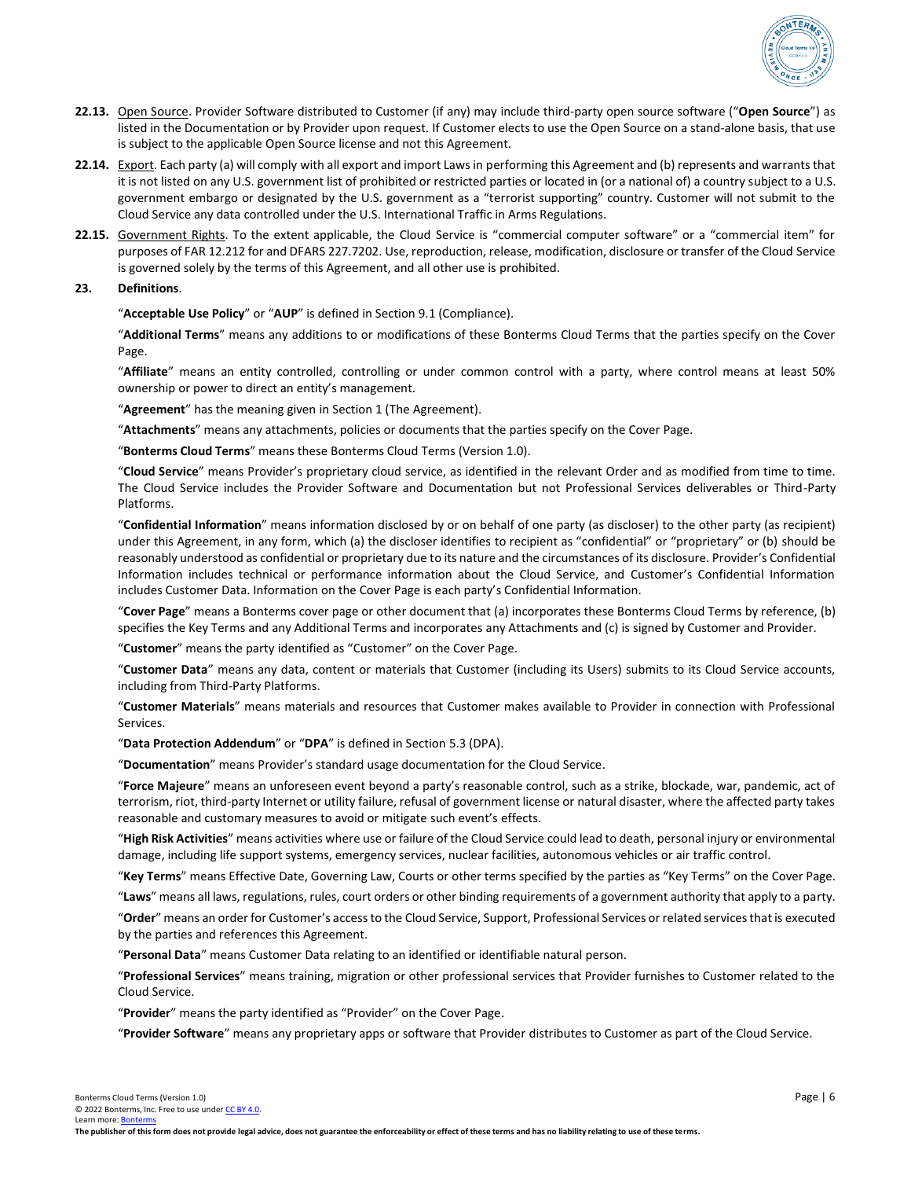

- **22.13.** Open Source. Provider Software distributed to Customer (if any) may include third-party open source software ("**Open Source**") as listed in the Documentation or by Provider upon request. If Customer elects to use the Open Source on a stand-alone basis, that use is subject to the applicable Open Source license and not this Agreement.
- **22.14.** Export. Each party (a) will comply with all export and import Laws in performing this Agreement and (b) represents and warrants that it is not listed on any U.S. government list of prohibited or restricted parties or located in (or a national of) a country subject to a U.S. government embargo or designated by the U.S. government as a "terrorist supporting" country. Customer will not submit to the Cloud Service any data controlled under the U.S. International Traffic in Arms Regulations.
- 22.15. Government Rights. To the extent applicable, the Cloud Service is "commercial computer software" or a "commercial item" for purposes of FAR 12.212 for and DFARS 227.7202. Use, reproduction, release, modification, disclosure or transfer of the Cloud Service is governed solely by the terms of this Agreement, and all other use is prohibited.

### **23. Definitions**.

"**Acceptable Use Policy**" or "**AUP**" is defined in Section 9.1 (Compliance).

"**Additional Terms**" means any additions to or modifications of these Bonterms Cloud Terms that the parties specify on the Cover Page.

"**Affiliate**" means an entity controlled, controlling or under common control with a party, where control means at least 50% ownership or power to direct an entity's management.

"**Agreement**" has the meaning given in Section 1 (The Agreement).

"**Attachments**" means any attachments, policies or documents that the parties specify on the Cover Page.

"**Bonterms Cloud Terms**" means these Bonterms Cloud Terms (Version 1.0).

"**Cloud Service**" means Provider's proprietary cloud service, as identified in the relevant Order and as modified from time to time. The Cloud Service includes the Provider Software and Documentation but not Professional Services deliverables or Third-Party Platforms.

"**Confidential Information**" means information disclosed by or on behalf of one party (as discloser) to the other party (as recipient) under this Agreement, in any form, which (a) the discloser identifies to recipient as "confidential" or "proprietary" or (b) should be reasonably understood as confidential or proprietary due to its nature and the circumstances of its disclosure. Provider's Confidential Information includes technical or performance information about the Cloud Service, and Customer's Confidential Information includes Customer Data. Information on the Cover Page is each party's Confidential Information.

"**Cover Page**" means a Bonterms cover page or other document that (a) incorporates these Bonterms Cloud Terms by reference, (b) specifies the Key Terms and any Additional Terms and incorporates any Attachments and (c) is signed by Customer and Provider.

"**Customer**" means the party identified as "Customer" on the Cover Page.

"**Customer Data**" means any data, content or materials that Customer (including its Users) submits to its Cloud Service accounts, including from Third-Party Platforms.

"**Customer Materials**" means materials and resources that Customer makes available to Provider in connection with Professional Services.

"**Data Protection Addendum**" or "**DPA**" is defined in Section 5.3 (DPA).

"**Documentation**" means Provider's standard usage documentation for the Cloud Service.

"**Force Majeure**" means an unforeseen event beyond a party's reasonable control, such as a strike, blockade, war, pandemic, act of terrorism, riot, third-party Internet or utility failure, refusal of government license or natural disaster, where the affected party takes reasonable and customary measures to avoid or mitigate such event's effects.

"**High Risk Activities**" means activities where use or failure of the Cloud Service could lead to death, personal injury or environmental damage, including life support systems, emergency services, nuclear facilities, autonomous vehicles or air traffic control.

"**Key Terms**" means Effective Date, Governing Law, Courts or other terms specified by the parties as "Key Terms" on the Cover Page.

"**Laws**" means all laws, regulations, rules, court orders or other binding requirements of a government authority that apply to a party.

"Order" means an order for Customer's access to the Cloud Service, Support, Professional Services or related services that is executed by the parties and references this Agreement.

"**Personal Data**" means Customer Data relating to an identified or identifiable natural person.

"**Professional Services**" means training, migration or other professional services that Provider furnishes to Customer related to the Cloud Service.

"**Provider**" means the party identified as "Provider" on the Cover Page.

"**Provider Software**" means any proprietary apps or software that Provider distributes to Customer as part of the Cloud Service.